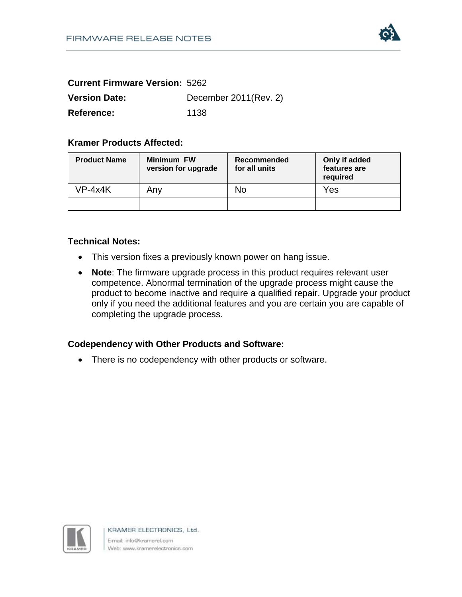

| <b>Current Firmware Version: 5262</b> |                       |
|---------------------------------------|-----------------------|
| <b>Version Date:</b>                  | December 2011(Rev. 2) |
| Reference:                            | 1138                  |

## **Kramer Products Affected:**

| <b>Product Name</b> | <b>Minimum FW</b><br>version for upgrade | Recommended<br>for all units | Only if added<br>features are<br>required |
|---------------------|------------------------------------------|------------------------------|-------------------------------------------|
| $VP-4x4K$           | Anv                                      | No                           | Yes                                       |
|                     |                                          |                              |                                           |

#### **Technical Notes:**

- This version fixes a previously known power on hang issue.
- **Note**: The firmware upgrade process in this product requires relevant user competence. Abnormal termination of the upgrade process might cause the product to become inactive and require a qualified repair. Upgrade your product only if you need the additional features and you are certain you are capable of completing the upgrade process.

## **Codependency with Other Products and Software:**

• There is no codependency with other products or software.



KRAMER ELECTRONICS, Ltd. E-mail: info@kramerel.com Web: www.kramerelectronics.com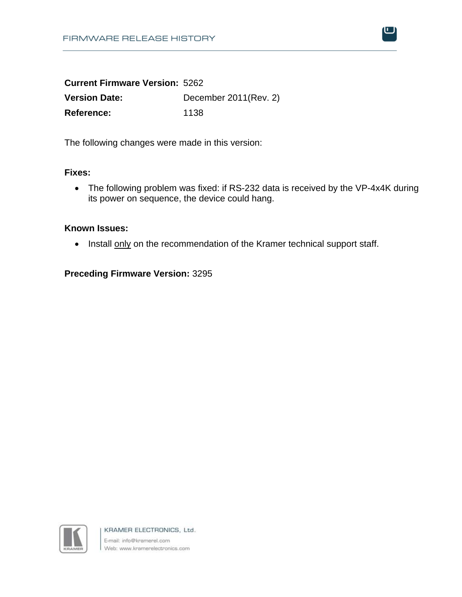

| <b>Current Firmware Version: 5262</b> |                       |
|---------------------------------------|-----------------------|
| <b>Version Date:</b>                  | December 2011(Rev. 2) |
| <b>Reference:</b>                     | 1138                  |

The following changes were made in this version:

### **Fixes:**

• The following problem was fixed: if RS-232 data is received by the VP-4x4K during its power on sequence, the device could hang.

### **Known Issues:**

• Install only on the recommendation of the Kramer technical support staff.

# **Preceding Firmware Version:** 3295



KRAMER ELECTRONICS, Ltd. E-mail: info@kramerel.com Web: www.kramerelectronics.com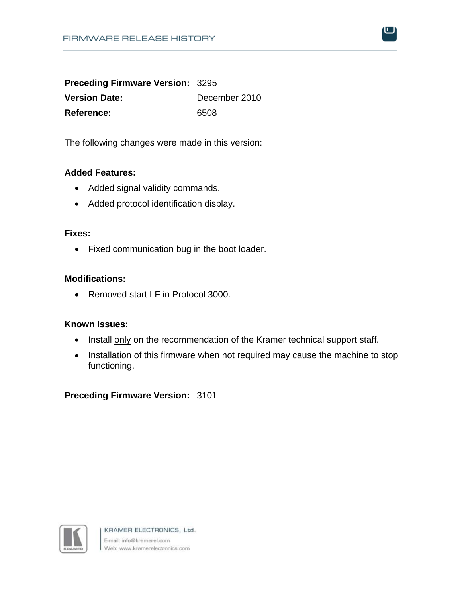**Preceding Firmware Version:** 3295 **Version Date:** December 2010 **Reference:** 6508

The following changes were made in this version:

### **Added Features:**

- Added signal validity commands.
- Added protocol identification display.

#### **Fixes:**

• Fixed communication bug in the boot loader.

### **Modifications:**

• Removed start LF in Protocol 3000.

# **Known Issues:**

- Install only on the recommendation of the Kramer technical support staff.
- Installation of this firmware when not required may cause the machine to stop functioning.

**Preceding Firmware Version:** 3101